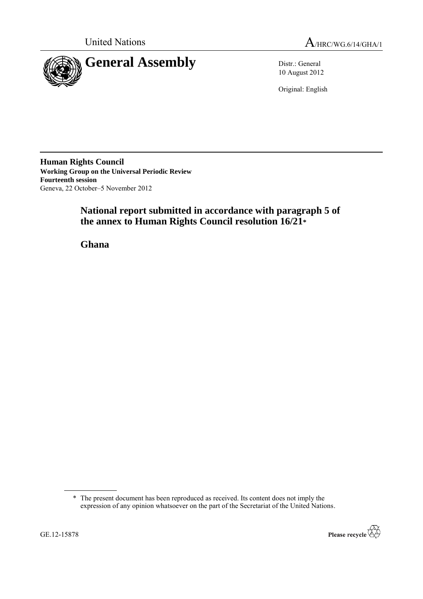



10 August 2012

Original: English

**Human Rights Council Working Group on the Universal Periodic Review Fourteenth session** Geneva, 22 October–5 November 2012

# **National report submitted in accordance with paragraph 5 of the annex to Human Rights Council resolution 16/21\***

**Ghana**

<sup>\*</sup> The present document has been reproduced as received. Its content does not imply the expression of any opinion whatsoever on the part of the Secretariat of the United Nations.

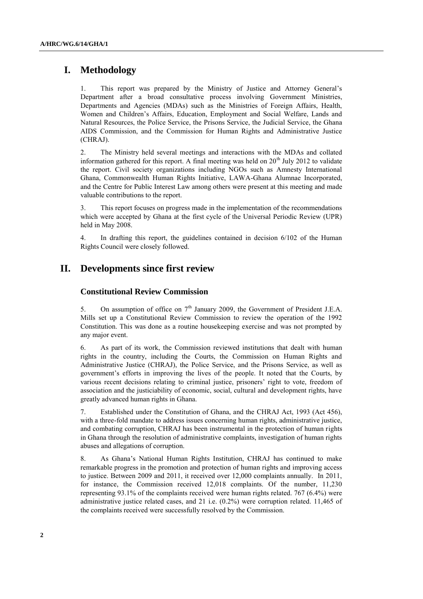## **I. Methodology**

1. This report was prepared by the Ministry of Justice and Attorney General"s Department after a broad consultative process involving Government Ministries, Departments and Agencies (MDAs) such as the Ministries of Foreign Affairs, Health, Women and Children"s Affairs, Education, Employment and Social Welfare, Lands and Natural Resources, the Police Service, the Prisons Service, the Judicial Service, the Ghana AIDS Commission, and the Commission for Human Rights and Administrative Justice (CHRAJ).

2. The Ministry held several meetings and interactions with the MDAs and collated information gathered for this report. A final meeting was held on  $20<sup>th</sup>$  July 2012 to validate the report. Civil society organizations including NGOs such as Amnesty International Ghana, Commonwealth Human Rights Initiative, LAWA-Ghana Alumnae Incorporated, and the Centre for Public Interest Law among others were present at this meeting and made valuable contributions to the report.

3. This report focuses on progress made in the implementation of the recommendations which were accepted by Ghana at the first cycle of the Universal Periodic Review (UPR) held in May 2008.

4. In drafting this report, the guidelines contained in decision 6/102 of the Human Rights Council were closely followed.

## **II. Developments since first review**

## **Constitutional Review Commission**

5. On assumption of office on  $7<sup>th</sup>$  January 2009, the Government of President J.E.A. Mills set up a Constitutional Review Commission to review the operation of the 1992 Constitution. This was done as a routine housekeeping exercise and was not prompted by any major event.

6. As part of its work, the Commission reviewed institutions that dealt with human rights in the country, including the Courts, the Commission on Human Rights and Administrative Justice (CHRAJ), the Police Service, and the Prisons Service, as well as government"s efforts in improving the lives of the people. It noted that the Courts, by various recent decisions relating to criminal justice, prisoners" right to vote, freedom of association and the justiciability of economic, social, cultural and development rights, have greatly advanced human rights in Ghana.

7. Established under the Constitution of Ghana, and the CHRAJ Act, 1993 (Act 456), with a three-fold mandate to address issues concerning human rights, administrative justice, and combating corruption, CHRAJ has been instrumental in the protection of human rights in Ghana through the resolution of administrative complaints, investigation of human rights abuses and allegations of corruption.

8. As Ghana"s National Human Rights Institution, CHRAJ has continued to make remarkable progress in the promotion and protection of human rights and improving access to justice. Between 2009 and 2011, it received over 12,000 complaints annually. In 2011, for instance, the Commission received 12,018 complaints. Of the number, 11,230 representing 93.1% of the complaints received were human rights related. 767 (6.4%) were administrative justice related cases, and 21 i.e. (0.2%) were corruption related. 11,465 of the complaints received were successfully resolved by the Commission.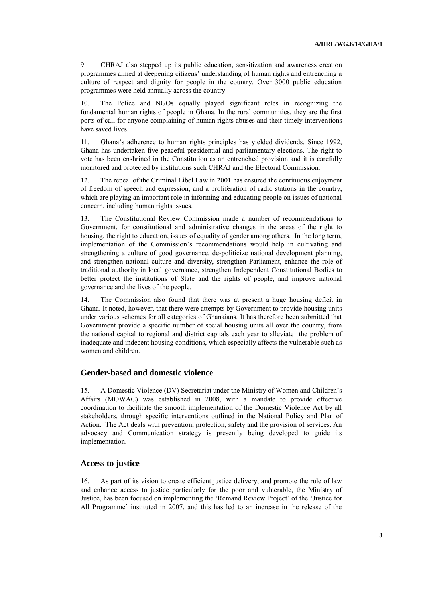9. CHRAJ also stepped up its public education, sensitization and awareness creation programmes aimed at deepening citizens" understanding of human rights and entrenching a culture of respect and dignity for people in the country. Over 3000 public education programmes were held annually across the country.

10. The Police and NGOs equally played significant roles in recognizing the fundamental human rights of people in Ghana. In the rural communities, they are the first ports of call for anyone complaining of human rights abuses and their timely interventions have saved lives.

11. Ghana"s adherence to human rights principles has yielded dividends. Since 1992, Ghana has undertaken five peaceful presidential and parliamentary elections. The right to vote has been enshrined in the Constitution as an entrenched provision and it is carefully monitored and protected by institutions such CHRAJ and the Electoral Commission.

12. The repeal of the Criminal Libel Law in 2001 has ensured the continuous enjoyment of freedom of speech and expression, and a proliferation of radio stations in the country, which are playing an important role in informing and educating people on issues of national concern, including human rights issues.

13. The Constitutional Review Commission made a number of recommendations to Government, for constitutional and administrative changes in the areas of the right to housing, the right to education, issues of equality of gender among others. In the long term, implementation of the Commission"s recommendations would help in cultivating and strengthening a culture of good governance, de-politicize national development planning, and strengthen national culture and diversity, strengthen Parliament, enhance the role of traditional authority in local governance, strengthen Independent Constitutional Bodies to better protect the institutions of State and the rights of people, and improve national governance and the lives of the people.

14. The Commission also found that there was at present a huge housing deficit in Ghana. It noted, however, that there were attempts by Government to provide housing units under various schemes for all categories of Ghanaians. It has therefore been submitted that Government provide a specific number of social housing units all over the country, from the national capital to regional and district capitals each year to alleviate the problem of inadequate and indecent housing conditions, which especially affects the vulnerable such as women and children.

#### **Gender-based and domestic violence**

15. A Domestic Violence (DV) Secretariat under the Ministry of Women and Children"s Affairs (MOWAC) was established in 2008, with a mandate to provide effective coordination to facilitate the smooth implementation of the Domestic Violence Act by all stakeholders, through specific interventions outlined in the National Policy and Plan of Action. The Act deals with prevention, protection, safety and the provision of services. An advocacy and Communication strategy is presently being developed to guide its implementation.

#### **Access to justice**

16. As part of its vision to create efficient justice delivery, and promote the rule of law and enhance access to justice particularly for the poor and vulnerable, the Ministry of Justice, has been focused on implementing the "Remand Review Project" of the "Justice for All Programme" instituted in 2007, and this has led to an increase in the release of the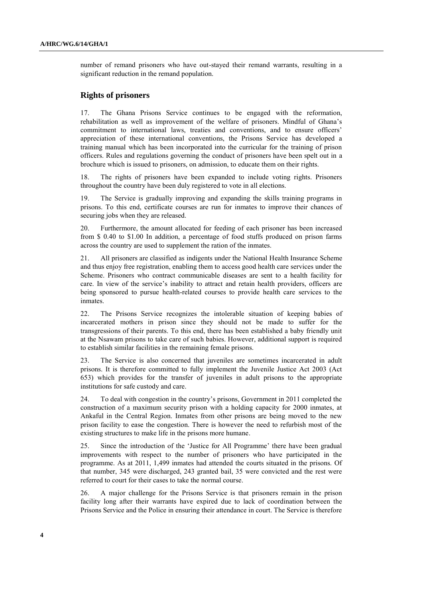number of remand prisoners who have out-stayed their remand warrants, resulting in a significant reduction in the remand population.

#### **Rights of prisoners**

17. The Ghana Prisons Service continues to be engaged with the reformation, rehabilitation as well as improvement of the welfare of prisoners. Mindful of Ghana"s commitment to international laws, treaties and conventions, and to ensure officers" appreciation of these international conventions, the Prisons Service has developed a training manual which has been incorporated into the curricular for the training of prison officers. Rules and regulations governing the conduct of prisoners have been spelt out in a brochure which is issued to prisoners, on admission, to educate them on their rights.

18. The rights of prisoners have been expanded to include voting rights. Prisoners throughout the country have been duly registered to vote in all elections.

19. The Service is gradually improving and expanding the skills training programs in prisons. To this end, certificate courses are run for inmates to improve their chances of securing jobs when they are released.

20. Furthermore, the amount allocated for feeding of each prisoner has been increased from \$ 0.40 to \$1.00 In addition, a percentage of food stuffs produced on prison farms across the country are used to supplement the ration of the inmates.

21. All prisoners are classified as indigents under the National Health Insurance Scheme and thus enjoy free registration, enabling them to access good health care services under the Scheme. Prisoners who contract communicable diseases are sent to a health facility for care. In view of the service"s inability to attract and retain health providers, officers are being sponsored to pursue health-related courses to provide health care services to the inmates.

22. The Prisons Service recognizes the intolerable situation of keeping babies of incarcerated mothers in prison since they should not be made to suffer for the transgressions of their parents. To this end, there has been established a baby friendly unit at the Nsawam prisons to take care of such babies. However, additional support is required to establish similar facilities in the remaining female prisons.

23. The Service is also concerned that juveniles are sometimes incarcerated in adult prisons. It is therefore committed to fully implement the Juvenile Justice Act 2003 (Act 653) which provides for the transfer of juveniles in adult prisons to the appropriate institutions for safe custody and care.

24. To deal with congestion in the country"s prisons, Government in 2011 completed the construction of a maximum security prison with a holding capacity for 2000 inmates, at Ankaful in the Central Region. Inmates from other prisons are being moved to the new prison facility to ease the congestion. There is however the need to refurbish most of the existing structures to make life in the prisons more humane.

25. Since the introduction of the "Justice for All Programme" there have been gradual improvements with respect to the number of prisoners who have participated in the programme. As at 2011, 1,499 inmates had attended the courts situated in the prisons. Of that number, 345 were discharged, 243 granted bail, 35 were convicted and the rest were referred to court for their cases to take the normal course.

26. A major challenge for the Prisons Service is that prisoners remain in the prison facility long after their warrants have expired due to lack of coordination between the Prisons Service and the Police in ensuring their attendance in court. The Service is therefore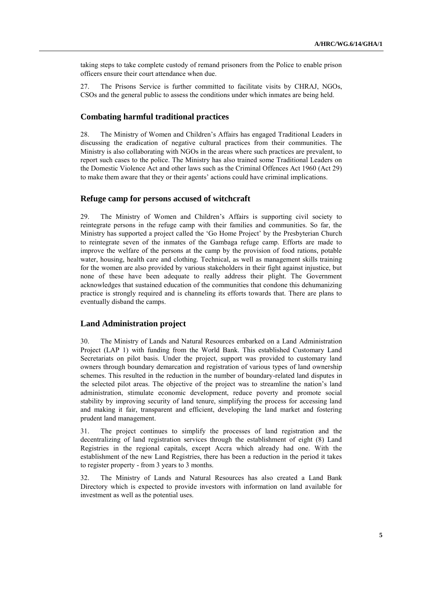taking steps to take complete custody of remand prisoners from the Police to enable prison officers ensure their court attendance when due.

27. The Prisons Service is further committed to facilitate visits by CHRAJ, NGOs, CSOs and the general public to assess the conditions under which inmates are being held.

## **Combating harmful traditional practices**

28. The Ministry of Women and Children"s Affairs has engaged Traditional Leaders in discussing the eradication of negative cultural practices from their communities. The Ministry is also collaborating with NGOs in the areas where such practices are prevalent, to report such cases to the police. The Ministry has also trained some Traditional Leaders on the Domestic Violence Act and other laws such as the Criminal Offences Act 1960 (Act 29) to make them aware that they or their agents" actions could have criminal implications.

#### **Refuge camp for persons accused of witchcraft**

29. The Ministry of Women and Children"s Affairs is supporting civil society to reintegrate persons in the refuge camp with their families and communities. So far, the Ministry has supported a project called the "Go Home Project" by the Presbyterian Church to reintegrate seven of the inmates of the Gambaga refuge camp. Efforts are made to improve the welfare of the persons at the camp by the provision of food rations, potable water, housing, health care and clothing. Technical, as well as management skills training for the women are also provided by various stakeholders in their fight against injustice, but none of these have been adequate to really address their plight. The Government acknowledges that sustained education of the communities that condone this dehumanizing practice is strongly required and is channeling its efforts towards that. There are plans to eventually disband the camps.

## **Land Administration project**

30. The Ministry of Lands and Natural Resources embarked on a Land Administration Project (LAP 1) with funding from the World Bank. This established Customary Land Secretariats on pilot basis. Under the project, support was provided to customary land owners through boundary demarcation and registration of various types of land ownership schemes. This resulted in the reduction in the number of boundary-related land disputes in the selected pilot areas. The objective of the project was to streamline the nation"s land administration, stimulate economic development, reduce poverty and promote social stability by improving security of land tenure, simplifying the process for accessing land and making it fair, transparent and efficient, developing the land market and fostering prudent land management.

31. The project continues to simplify the processes of land registration and the decentralizing of land registration services through the establishment of eight (8) Land Registries in the regional capitals, except Accra which already had one. With the establishment of the new Land Registries, there has been a reduction in the period it takes to register property - from 3 years to 3 months.

32. The Ministry of Lands and Natural Resources has also created a Land Bank Directory which is expected to provide investors with information on land available for investment as well as the potential uses.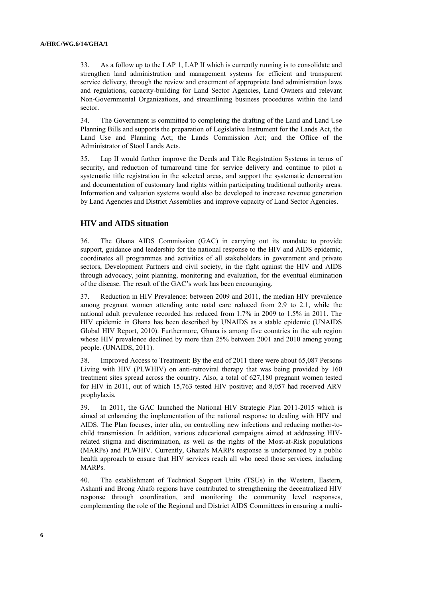33. As a follow up to the LAP 1, LAP II which is currently running is to consolidate and strengthen land administration and management systems for efficient and transparent service delivery, through the review and enactment of appropriate land administration laws and regulations, capacity-building for Land Sector Agencies, Land Owners and relevant Non-Governmental Organizations, and streamlining business procedures within the land sector.

34. The Government is committed to completing the drafting of the Land and Land Use Planning Bills and support**s** the preparation of Legislative Instrument for the Lands Act, the Land Use and Planning Act; the Lands Commission Act; and the Office of the Administrator of Stool Lands Acts.

35. Lap II would further improve the Deeds and Title Registration Systems in terms of security, and reduction of turnaround time for service delivery and continue to pilot a systematic title registration in the selected areas, and support the systematic demarcation and documentation of customary land rights within participating traditional authority areas. Information and valuation systems would also be developed to increase revenue generation by Land Agencies and District Assemblies and improve capacity of Land Sector Agencies.

#### **HIV and AIDS situation**

36. The Ghana AIDS Commission (GAC) in carrying out its mandate to provide support, guidance and leadership for the national response to the HIV and AIDS epidemic, coordinates all programmes and activities of all stakeholders in government and private sectors, Development Partners and civil society, in the fight against the HIV and AIDS through advocacy, joint planning, monitoring and evaluation, for the eventual elimination of the disease. The result of the GAC"s work has been encouraging.

37. Reduction in HIV Prevalence: between 2009 and 2011, the median HIV prevalence among pregnant women attending ante natal care reduced from 2.9 to 2.1, while the national adult prevalence recorded has reduced from 1.7% in 2009 to 1.5% in 2011. The HIV epidemic in Ghana has been described by UNAIDS as a stable epidemic (UNAIDS Global HIV Report, 2010). Furthermore, Ghana is among five countries in the sub region whose HIV prevalence declined by more than 25% between 2001 and 2010 among young people. (UNAIDS, 2011).

38. Improved Access to Treatment: By the end of 2011 there were about 65,087 Persons Living with HIV (PLWHIV) on anti-retroviral therapy that was being provided by 160 treatment sites spread across the country. Also, a total of 627,180 pregnant women tested for HIV in 2011, out of which 15,763 tested HIV positive; and 8,057 had received ARV prophylaxis.

39. In 2011, the GAC launched the National HIV Strategic Plan 2011-2015 which is aimed at enhancing the implementation of the national response to dealing with HIV and AIDS. The Plan focuses, inter alia, on controlling new infections and reducing mother-tochild transmission. In addition, various educational campaigns aimed at addressing HIVrelated stigma and discrimination, as well as the rights of the Most-at-Risk populations (MARPs) and PLWHIV. Currently, Ghana's MARPs response is underpinned by a public health approach to ensure that HIV services reach all who need those services, including MARPs.

40. The establishment of Technical Support Units (TSUs) in the Western, Eastern, Ashanti and Brong Ahafo regions have contributed to strengthening the decentralized HIV response through coordination, and monitoring the community level responses, complementing the role of the Regional and District AIDS Committees in ensuring a multi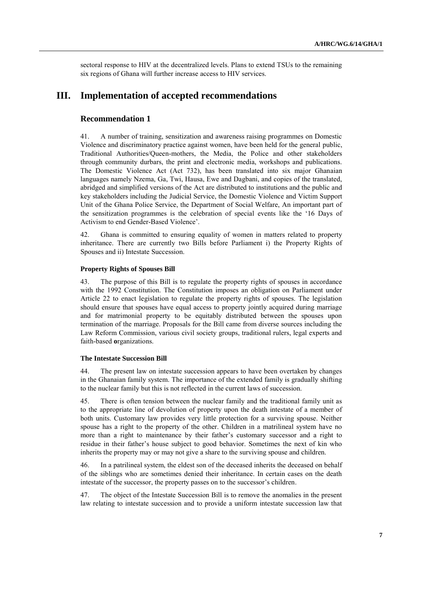sectoral response to HIV at the decentralized levels. Plans to extend TSUs to the remaining six regions of Ghana will further increase access to HIV services.

## **III. Implementation of accepted recommendations**

## **Recommendation 1**

41. A number of training, sensitization and awareness raising programmes on Domestic Violence and discriminatory practice against women, have been held for the general public, Traditional Authorities/Queen-mothers, the Media, the Police and other stakeholders through community durbars, the print and electronic media, workshops and publications. The Domestic Violence Act (Act 732), has been translated into six major Ghanaian languages namely Nzema, Ga, Twi, Hausa, Ewe and Dagbani, and copies of the translated, abridged and simplified versions of the Act are distributed to institutions and the public and key stakeholders including the Judicial Service, the Domestic Violence and Victim Support Unit of the Ghana Police Service, the Department of Social Welfare, An important part of the sensitization programmes is the celebration of special events like the "16 Days of Activism to end Gender-Based Violence".

42. Ghana is committed to ensuring equality of women in matters related to property inheritance. There are currently two Bills before Parliament i) the Property Rights of Spouses and ii) Intestate Succession.

#### **Property Rights of Spouses Bill**

43. The purpose of this Bill is to regulate the property rights of spouses in accordance with the 1992 Constitution. The Constitution imposes an obligation on Parliament under Article 22 to enact legislation to regulate the property rights of spouses. The legislation should ensure that spouses have equal access to property jointly acquired during marriage and for matrimonial property to be equitably distributed between the spouses upon termination of the marriage. Proposals for the Bill came from diverse sources including the Law Reform Commission, various civil society groups, traditional rulers, legal experts and faith-based **o**rganizations.

#### **The Intestate Succession Bill**

44. The present law on intestate succession appears to have been overtaken by changes in the Ghanaian family system. The importance of the extended family is gradually shifting to the nuclear family but this is not reflected in the current laws of succession.

45. There is often tension between the nuclear family and the traditional family unit as to the appropriate line of devolution of property upon the death intestate of a member of both units. Customary law provides very little protection for a surviving spouse. Neither spouse has a right to the property of the other. Children in a matrilineal system have no more than a right to maintenance by their father"s customary successor and a right to residue in their father"s house subject to good behavior. Sometimes the next of kin who inherits the property may or may not give a share to the surviving spouse and children.

46. In a patrilineal system, the eldest son of the deceased inherits the deceased on behalf of the siblings who are sometimes denied their inheritance. In certain cases on the death intestate of the successor, the property passes on to the successor's children.

47. The object of the Intestate Succession Bill is to remove the anomalies in the present law relating to intestate succession and to provide a uniform intestate succession law that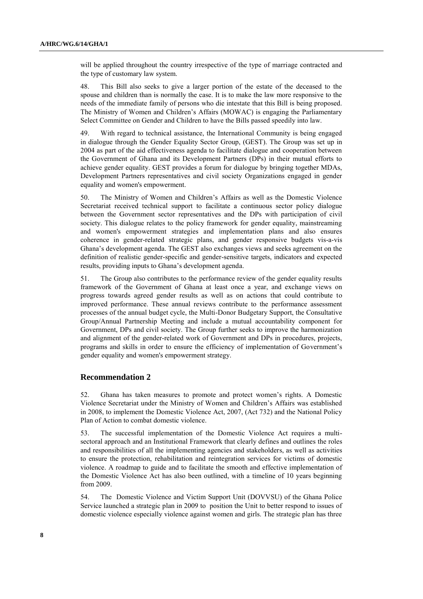will be applied throughout the country irrespective of the type of marriage contracted and the type of customary law system.

48. This Bill also seeks to give a larger portion of the estate of the deceased to the spouse and children than is normally the case. It is to make the law more responsive to the needs of the immediate family of persons who die intestate that this Bill is being proposed. The Ministry of Women and Children"s Affairs (MOWAC) is engaging the Parliamentary Select Committee on Gender and Children to have the Bills passed speedily into law.

49. With regard to technical assistance, the International Community is being engaged in dialogue through the Gender Equality Sector Group, (GEST). The Group was set up in 2004 as part of the aid effectiveness agenda to facilitate dialogue and cooperation between the Government of Ghana and its Development Partners (DPs) in their mutual efforts to achieve gender equality. GEST provides a forum for dialogue by bringing together MDAs, Development Partners representatives and civil society Organizations engaged in gender equality and women's empowerment.

50. The Ministry of Women and Children"s Affairs as well as the Domestic Violence Secretariat received technical support to facilitate a continuous sector policy dialogue between the Government sector representatives and the DPs with participation of civil society. This dialogue relates to the policy framework for gender equality, mainstreaming and women's empowerment strategies and implementation plans and also ensures coherence in gender-related strategic plans, and gender responsive budgets vis-a-vis Ghana"s development agenda. The GEST also exchanges views and seeks agreement on the definition of realistic gender-specific and gender-sensitive targets, indicators and expected results, providing inputs to Ghana"s development agenda.

51. The Group also contributes to the performance review of the gender equality results framework of the Government of Ghana at least once a year, and exchange views on progress towards agreed gender results as well as on actions that could contribute to improved performance. These annual reviews contribute to the performance assessment processes of the annual budget cycle, the Multi-Donor Budgetary Support, the Consultative Group/Annual Partnership Meeting and include a mutual accountability component for Government, DPs and civil society. The Group further seeks to improve the harmonization and alignment of the gender-related work of Government and DPs in procedures, projects, programs and skills in order to ensure the efficiency of implementation of Government's gender equality and women's empowerment strategy.

#### **Recommendation 2**

52. Ghana has taken measures to promote and protect women"s rights. A Domestic Violence Secretariat under the Ministry of Women and Children"s Affairs was established in 2008, to implement the Domestic Violence Act, 2007, (Act 732) and the National Policy Plan of Action to combat domestic violence.

53. The successful implementation of the Domestic Violence Act requires a multisectoral approach and an Institutional Framework that clearly defines and outlines the roles and responsibilities of all the implementing agencies and stakeholders, as well as activities to ensure the protection, rehabilitation and reintegration services for victims of domestic violence. A roadmap to guide and to facilitate the smooth and effective implementation of the Domestic Violence Act has also been outlined, with a timeline of 10 years beginning from 2009.

54. The Domestic Violence and Victim Support Unit (DOVVSU) of the Ghana Police Service launched a strategic plan in 2009 to position the Unit to better respond to issues of domestic violence especially violence against women and girls. The strategic plan has three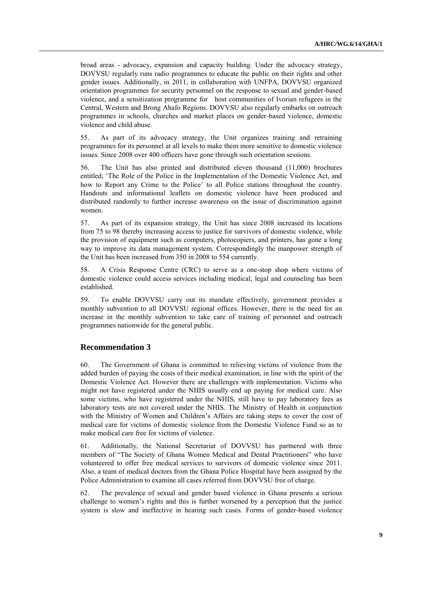broad areas - advocacy, expansion and capacity building. Under the advocacy strategy, DOVVSU regularly runs radio programmes to educate the public on their rights and other gender issues. Additionally, in 2011, in collaboration with UNFPA, DOVVSU organized orientation programmes for security personnel on the response to sexual and gender-based violence, and a sensitization programme for host communities of Ivorian refugees in the Central, Western and Brong Ahafo Regions. DOVVSU also regularly embarks on outreach programmes in schools, churches and market places on gender-based violence, domestic violence and child abuse.

55. As part of its advocacy strategy, the Unit organizes training and retraining programmes for its personnel at all levels to make them more sensitive to domestic violence issues. Since 2008 over 400 officers have gone through such orientation sessions.

56. The Unit has also printed and distributed eleven thousand (11,000) brochures entitled, "The Role of the Police in the Implementation of the Domestic Violence Act, and how to Report any Crime to the Police' to all Police stations throughout the country. Handouts and informational leaflets on domestic violence have been produced and distributed randomly to further increase awareness on the issue of discrimination against women.

57. As part of its expansion strategy, the Unit has since 2008 increased its locations from 75 to 98 thereby increasing access to justice for survivors of domestic violence, while the provision of equipment such as computers, photocopiers, and printers, has gone a long way to improve its data management system. Correspondingly the manpower strength of the Unit has been increased from 350 in 2008 to 554 currently.

58. A Crisis Response Centre (CRC) to serve as a one-stop shop where victims of domestic violence could access services including medical, legal and counseling has been established.

59. To enable DOVVSU carry out its mandate effectively, government provides a monthly subvention to all DOVVSU regional offices. However, there is the need for an increase in the monthly subvention to take care of training of personnel and outreach programmes nationwide for the general public.

## **Recommendation 3**

60. The Government of Ghana is committed to relieving victims of violence from the added burden of paying the costs of their medical examination, in line with the spirit of the Domestic Violence Act. However there are challenges with implementation. Victims who might not have registered under the NHIS usually end up paying for medical care. Also some victims, who have registered under the NHIS, still have to pay laboratory fees as laboratory tests are not covered under the NHIS. The Ministry of Health in conjunction with the Ministry of Women and Children"s Affairs are taking steps to cover the cost of medical care for victims of domestic violence from the Domestic Violence Fund so as to make medical care free for victims of violence.

61. Additionally, the National Secretariat of DOVVSU has partnered with three members of "The Society of Ghana Women Medical and Dental Practitioners" who have volunteered to offer free medical services to survivors of domestic violence since 2011. Also, a team of medical doctors from the Ghana Police Hospital have been assigned by the Police Administration to examine all cases referred from DOVVSU free of charge.

62. The prevalence of sexual and gender based violence in Ghana presents a serious challenge to women"s rights and this is further worsened by a perception that the justice system is slow and ineffective in hearing such cases. Forms of gender-based violence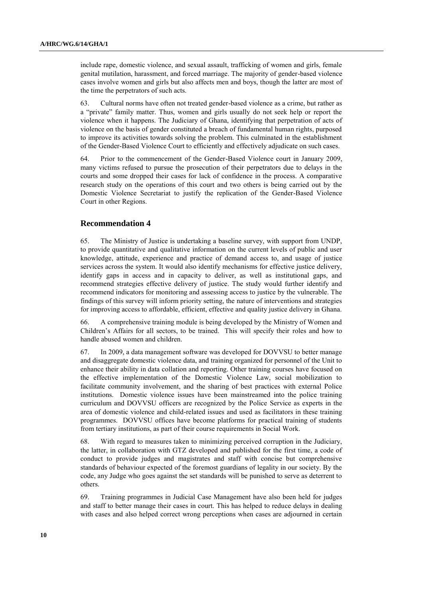include rape, domestic violence, and sexual assault, trafficking of women and girls, female genital mutilation, harassment, and forced marriage. The majority of gender-based violence cases involve women and girls but also affects men and boys, though the latter are most of the time the perpetrators of such acts.

63. Cultural norms have often not treated gender-based violence as a crime, but rather as a "private" family matter. Thus, women and girls usually do not seek help or report the violence when it happens. The Judiciary of Ghana, identifying that perpetration of acts of violence on the basis of gender constituted a breach of fundamental human rights, purposed to improve its activities towards solving the problem. This culminated in the establishment of the Gender-Based Violence Court to efficiently and effectively adjudicate on such cases.

64. Prior to the commencement of the Gender-Based Violence court in January 2009, many victims refused to pursue the prosecution of their perpetrators due to delays in the courts and some dropped their cases for lack of confidence in the process. A comparative research study on the operations of this court and two others is being carried out by the Domestic Violence Secretariat to justify the replication of the Gender-Based Violence Court in other Regions.

## **Recommendation 4**

65. The Ministry of Justice is undertaking a baseline survey, with support from UNDP, to provide quantitative and qualitative information on the current levels of public and user knowledge, attitude, experience and practice of demand access to, and usage of justice services across the system. It would also identify mechanisms for effective justice delivery, identify gaps in access and in capacity to deliver, as well as institutional gaps, and recommend strategies effective delivery of justice. The study would further identify and recommend indicators for monitoring and assessing access to justice by the vulnerable. The findings of this survey will inform priority setting, the nature of interventions and strategies for improving access to affordable, efficient, effective and quality justice delivery in Ghana.

66. A comprehensive training module is being developed by the Ministry of Women and Children"s Affairs for all sectors, to be trained. This will specify their roles and how to handle abused women and children.

67. In 2009, a data management software was developed for DOVVSU to better manage and disaggregate domestic violence data, and training organized for personnel of the Unit to enhance their ability in data collation and reporting. Other training courses have focused on the effective implementation of the Domestic Violence Law, social mobilization to facilitate community involvement, and the sharing of best practices with external Police institutions. Domestic violence issues have been mainstreamed into the police training curriculum and DOVVSU officers are recognized by the Police Service as experts in the area of domestic violence and child-related issues and used as facilitators in these training programmes. DOVVSU offices have become platforms for practical training of students from tertiary institutions, as part of their course requirements in Social Work.

68. With regard to measures taken to minimizing perceived corruption in the Judiciary, the latter, in collaboration with GTZ developed and published for the first time, a code of conduct to provide judges and magistrates and staff with concise but comprehensive standards of behaviour expected of the foremost guardians of legality in our society. By the code, any Judge who goes against the set standards will be punished to serve as deterrent to others.

69. Training programmes in Judicial Case Management have also been held for judges and staff to better manage their cases in court. This has helped to reduce delays in dealing with cases and also helped correct wrong perceptions when cases are adjourned in certain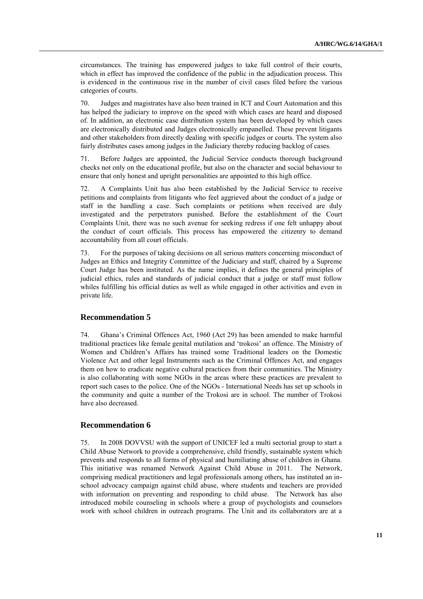circumstances. The training has empowered judges to take full control of their courts, which in effect has improved the confidence of the public in the adjudication process. This is evidenced in the continuous rise in the number of civil cases filed before the various categories of courts.

70. Judges and magistrates have also been trained in ICT and Court Automation and this has helped the judiciary to improve on the speed with which cases are heard and disposed of. In addition, an electronic case distribution system has been developed by which cases are electronically distributed and Judges electronically empanelled. These prevent litigants and other stakeholders from directly dealing with specific judges or courts. The system also fairly distributes cases among judges in the Judiciary thereby reducing backlog of cases.

71. Before Judges are appointed, the Judicial Service conducts thorough background checks not only on the educational profile, but also on the character and social behaviour to ensure that only honest and upright personalities are appointed to this high office.

72. A Complaints Unit has also been established by the Judicial Service to receive petitions and complaints from litigants who feel aggrieved about the conduct of a judge or staff in the handling a case. Such complaints or petitions when received are duly investigated and the perpetrators punished. Before the establishment of the Court Complaints Unit, there was no such avenue for seeking redress if one felt unhappy about the conduct of court officials. This process has empowered the citizenry to demand accountability from all court officials.

73. For the purposes of taking decisions on all serious matters concerning misconduct of Judges an Ethics and Integrity Committee of the Judiciary and staff, chaired by a Supreme Court Judge has been instituted. As the name implies, it defines the general principles of judicial ethics, rules and standards of judicial conduct that a judge or staff must follow whiles fulfilling his official duties as well as while engaged in other activities and even in private life.

#### **Recommendation 5**

74. Ghana"s Criminal Offences Act, 1960 (Act 29) has been amended to make harmful traditional practices like female genital mutilation and "trokosi" an offence. The Ministry of Women and Children"s Affairs has trained some Traditional leaders on the Domestic Violence Act and other legal Instruments such as the Criminal Offences Act, and engages them on how to eradicate negative cultural practices from their communities. The Ministry is also collaborating with some NGOs in the areas where these practices are prevalent to report such cases to the police. One of the NGOs - International Needs has set up schools in the community and quite a number of the Trokosi are in school. The number of Trokosi have also decreased.

#### **Recommendation 6**

75. In 2008 DOVVSU with the support of UNICEF led a multi sectorial group to start a Child Abuse Network to provide a comprehensive, child friendly, sustainable system which prevents and responds to all forms of physical and humiliating abuse of children in Ghana. This initiative was renamed Network Against Child Abuse in 2011. The Network, comprising medical practitioners and legal professionals among others, has instituted an inschool advocacy campaign against child abuse, where students and teachers are provided with information on preventing and responding to child abuse. The Network has also introduced mobile counseling in schools where a group of psychologists and counselors work with school children in outreach programs. The Unit and its collaborators are at a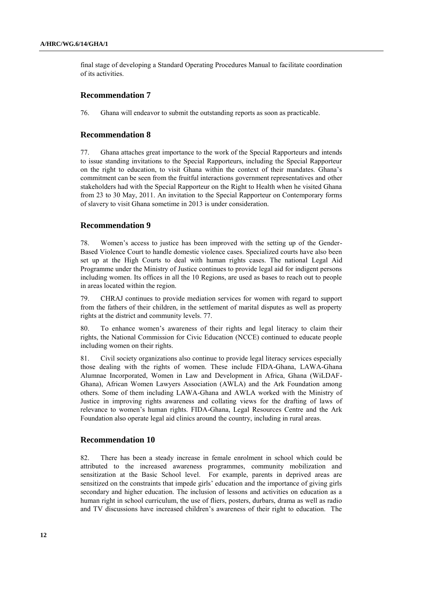final stage of developing a Standard Operating Procedures Manual to facilitate coordination of its activities.

#### **Recommendation 7**

76. Ghana will endeavor to submit the outstanding reports as soon as practicable.

#### **Recommendation 8**

77. Ghana attaches great importance to the work of the Special Rapporteurs and intends to issue standing invitations to the Special Rapporteurs, including the Special Rapporteur on the right to education, to visit Ghana within the context of their mandates. Ghana"s commitment can be seen from the fruitful interactions government representatives and other stakeholders had with the Special Rapporteur on the Right to Health when he visited Ghana from 23 to 30 May, 2011. An invitation to the Special Rapporteur on Contemporary forms of slavery to visit Ghana sometime in 2013 is under consideration.

#### **Recommendation 9**

78. Women"s access to justice has been improved with the setting up of the Gender-Based Violence Court to handle domestic violence cases. Specialized courts have also been set up at the High Courts to deal with human rights cases. The national Legal Aid Programme under the Ministry of Justice continues to provide legal aid for indigent persons including women. Its offices in all the 10 Regions, are used as bases to reach out to people in areas located within the region.

79. CHRAJ continues to provide mediation services for women with regard to support from the fathers of their children, in the settlement of marital disputes as well as property rights at the district and community levels. 77.

80. To enhance women"s awareness of their rights and legal literacy to claim their rights, the National Commission for Civic Education (NCCE) continued to educate people including women on their rights.

81. Civil society organizations also continue to provide legal literacy services especially those dealing with the rights of women. These include FIDA-Ghana, LAWA-Ghana Alumnae Incorporated, Women in Law and Development in Africa, Ghana (WiLDAF-Ghana), African Women Lawyers Association (AWLA) and the Ark Foundation among others. Some of them including LAWA-Ghana and AWLA worked with the Ministry of Justice in improving rights awareness and collating views for the drafting of laws of relevance to women"s human rights. FIDA-Ghana, Legal Resources Centre and the Ark Foundation also operate legal aid clinics around the country, including in rural areas.

#### **Recommendation 10**

82. There has been a steady increase in female enrolment in school which could be attributed to the increased awareness programmes, community mobilization and sensitization at the Basic School level. For example, parents in deprived areas are sensitized on the constraints that impede girls' education and the importance of giving girls secondary and higher education. The inclusion of lessons and activities on education as a human right in school curriculum, the use of fliers, posters, durbars, drama as well as radio and TV discussions have increased children"s awareness of their right to education. The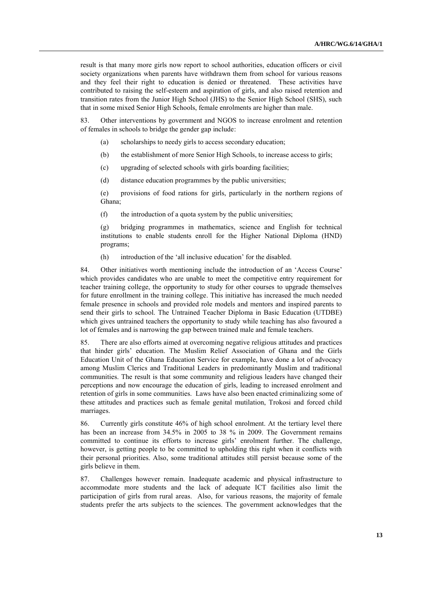result is that many more girls now report to school authorities, education officers or civil society organizations when parents have withdrawn them from school for various reasons and they feel their right to education is denied or threatened. These activities have contributed to raising the self-esteem and aspiration of girls, and also raised retention and transition rates from the Junior High School (JHS) to the Senior High School (SHS), such that in some mixed Senior High Schools, female enrolments are higher than male.

83. Other interventions by government and NGOS to increase enrolment and retention of females in schools to bridge the gender gap include:

- (a) scholarships to needy girls to access secondary education;
- (b) the establishment of more Senior High Schools, to increase access to girls;
- (c) upgrading of selected schools with girls boarding facilities;
- (d) distance education programmes by the public universities;

(e) provisions of food rations for girls, particularly in the northern regions of Ghana;

(f) the introduction of a quota system by the public universities;

(g) bridging programmes in mathematics, science and English for technical institutions to enable students enroll for the Higher National Diploma (HND) programs;

(h) introduction of the "all inclusive education" for the disabled.

84. Other initiatives worth mentioning include the introduction of an "Access Course" which provides candidates who are unable to meet the competitive entry requirement for teacher training college, the opportunity to study for other courses to upgrade themselves for future enrollment in the training college. This initiative has increased the much needed female presence in schools and provided role models and mentors and inspired parents to send their girls to school. The Untrained Teacher Diploma in Basic Education (UTDBE) which gives untrained teachers the opportunity to study while teaching has also favoured a lot of females and is narrowing the gap between trained male and female teachers.

85. There are also efforts aimed at overcoming negative religious attitudes and practices that hinder girls" education. The Muslim Relief Association of Ghana and the Girls Education Unit of the Ghana Education Service for example, have done a lot of advocacy among Muslim Clerics and Traditional Leaders in predominantly Muslim and traditional communities. The result is that some community and religious leaders have changed their perceptions and now encourage the education of girls, leading to increased enrolment and retention of girls in some communities. Laws have also been enacted criminalizing some of these attitudes and practices such as female genital mutilation, Trokosi and forced child marriages.

86. Currently girls constitute 46% of high school enrolment. At the tertiary level there has been an increase from 34.5% in 2005 to 38 % in 2009. The Government remains committed to continue its efforts to increase girls" enrolment further. The challenge, however, is getting people to be committed to upholding this right when it conflicts with their personal priorities. Also, some traditional attitudes still persist because some of the girls believe in them.

87. Challenges however remain. Inadequate academic and physical infrastructure to accommodate more students and the lack of adequate ICT facilities also limit the participation of girls from rural areas. Also, for various reasons, the majority of female students prefer the arts subjects to the sciences. The government acknowledges that the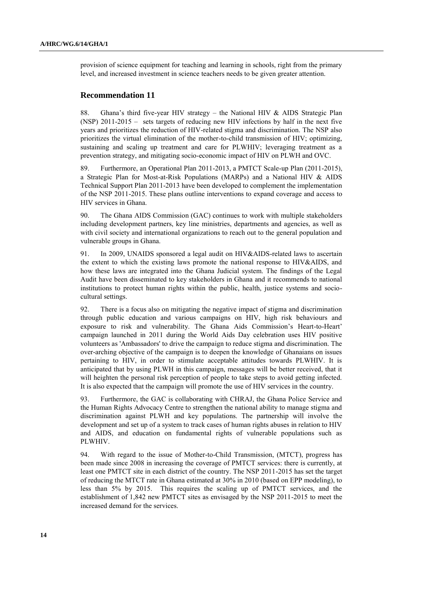provision of science equipment for teaching and learning in schools, right from the primary level, and increased investment in science teachers needs to be given greater attention.

#### **Recommendation 11**

88. Ghana's third five-year HIV strategy – the National HIV & AIDS Strategic Plan (NSP) 2011-2015 – sets targets of reducing new HIV infections by half in the next five years and prioritizes the reduction of HIV-related stigma and discrimination. The NSP also prioritizes the virtual elimination of the mother-to-child transmission of HIV; optimizing, sustaining and scaling up treatment and care for PLWHIV; leveraging treatment as a prevention strategy, and mitigating socio-economic impact of HIV on PLWH and OVC.

89. Furthermore, an Operational Plan 2011-2013, a PMTCT Scale-up Plan (2011-2015), a Strategic Plan for Most-at-Risk Populations (MARPs) and a National HIV & AIDS Technical Support Plan 2011-2013 have been developed to complement the implementation of the NSP 2011-2015. These plans outline interventions to expand coverage and access to HIV services in Ghana.

90. The Ghana AIDS Commission (GAC) continues to work with multiple stakeholders including development partners, key line ministries, departments and agencies, as well as with civil society and international organizations to reach out to the general population and vulnerable groups in Ghana.

91. In 2009, UNAIDS sponsored a legal audit on HIV&AIDS-related laws to ascertain the extent to which the existing laws promote the national response to HIV&AIDS, and how these laws are integrated into the Ghana Judicial system. The findings of the Legal Audit have been disseminated to key stakeholders in Ghana and it recommends to national institutions to protect human rights within the public, health, justice systems and sociocultural settings.

92. There is a focus also on mitigating the negative impact of stigma and discrimination through public education and various campaigns on HIV, high risk behaviours and exposure to risk and vulnerability. The Ghana Aids Commission's Heart-to-Heart' campaign launched in 2011 during the World Aids Day celebration uses HIV positive volunteers as 'Ambassadors' to drive the campaign to reduce stigma and discrimination. The over-arching objective of the campaign is to deepen the knowledge of Ghanaians on issues pertaining to HIV, in order to stimulate acceptable attitudes towards PLWHIV. It is anticipated that by using PLWH in this campaign, messages will be better received, that it will heighten the personal risk perception of people to take steps to avoid getting infected. It is also expected that the campaign will promote the use of HIV services in the country.

93. Furthermore, the GAC is collaborating with CHRAJ, the Ghana Police Service and the Human Rights Advocacy Centre to strengthen the national ability to manage stigma and discrimination against PLWH and key populations. The partnership will involve the development and set up of a system to track cases of human rights abuses in relation to HIV and AIDS, and education on fundamental rights of vulnerable populations such as PLWHIV.

94. With regard to the issue of Mother-to-Child Transmission, (MTCT), progress has been made since 2008 in increasing the coverage of PMTCT services: there is currently, at least one PMTCT site in each district of the country. The NSP 2011-2015 has set the target of reducing the MTCT rate in Ghana estimated at 30% in 2010 (based on EPP modeling), to less than 5% by 2015. This requires the scaling up of PMTCT services, and the establishment of 1,842 new PMTCT sites as envisaged by the NSP 2011-2015 to meet the increased demand for the services.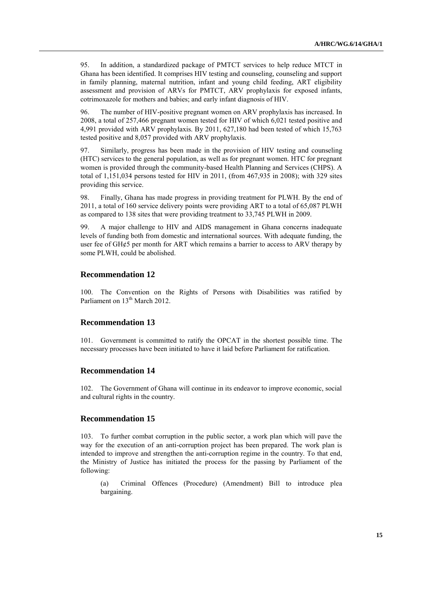95. In addition, a standardized package of PMTCT services to help reduce MTCT in Ghana has been identified. It comprises HIV testing and counseling, counseling and support in family planning, maternal nutrition, infant and young child feeding, ART eligibility assessment and provision of ARVs for PMTCT, ARV prophylaxis for exposed infants, cotrimoxazole for mothers and babies; and early infant diagnosis of HIV.

96. The number of HIV-positive pregnant women on ARV prophylaxis has increased. In 2008, a total of 257,466 pregnant women tested for HIV of which 6,021 tested positive and 4,991 provided with ARV prophylaxis. By 2011, 627,180 had been tested of which 15,763 tested positive and 8,057 provided with ARV prophylaxis.

97. Similarly, progress has been made in the provision of HIV testing and counseling (HTC) services to the general population, as well as for pregnant women. HTC for pregnant women is provided through the community-based Health Planning and Services (CHPS). A total of 1,151,034 persons tested for HIV in 2011, (from 467,935 in 2008); with 329 sites providing this service.

98. Finally, Ghana has made progress in providing treatment for PLWH. By the end of 2011, a total of 160 service delivery points were providing ART to a total of 65,087 PLWH as compared to 138 sites that were providing treatment to 33,745 PLWH in 2009.

99. A major challenge to HIV and AIDS management in Ghana concerns inadequate levels of funding both from domestic and international sources. With adequate funding, the user fee of  $GH\phi$ 5 per month for ART which remains a barrier to access to ARV therapy by some PLWH, could be abolished.

## **Recommendation 12**

100. The Convention on the Rights of Persons with Disabilities was ratified by Parliament on 13<sup>th</sup> March 2012.

## **Recommendation 13**

101. Government is committed to ratify the OPCAT in the shortest possible time. The necessary processes have been initiated to have it laid before Parliament for ratification.

## **Recommendation 14**

102. The Government of Ghana will continue in its endeavor to improve economic, social and cultural rights in the country.

## **Recommendation 15**

103. To further combat corruption in the public sector, a work plan which will pave the way for the execution of an anti-corruption project has been prepared. The work plan is intended to improve and strengthen the anti-corruption regime in the country. To that end, the Ministry of Justice has initiated the process for the passing by Parliament of the following:

(a) Criminal Offences (Procedure) (Amendment) Bill to introduce plea bargaining.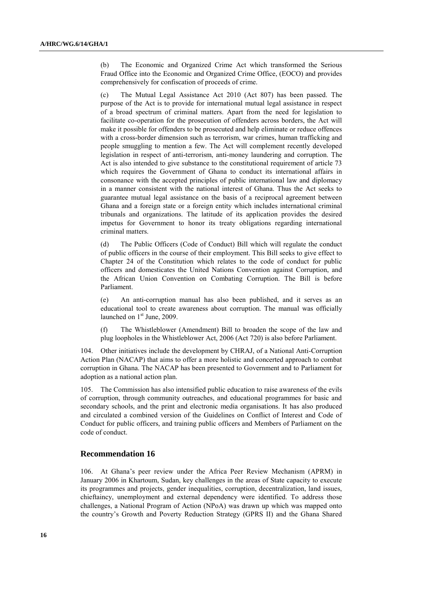(b) The Economic and Organized Crime Act which transformed the Serious Fraud Office into the Economic and Organized Crime Office, (EOCO) and provides comprehensively for confiscation of proceeds of crime.

(c) The Mutual Legal Assistance Act 2010 (Act 807) has been passed. The purpose of the Act is to provide for international mutual legal assistance in respect of a broad spectrum of criminal matters. Apart from the need for legislation to facilitate co-operation for the prosecution of offenders across borders, the Act will make it possible for offenders to be prosecuted and help eliminate or reduce offences with a cross-border dimension such as terrorism, war crimes, human trafficking and people smuggling to mention a few. The Act will complement recently developed legislation in respect of anti-terrorism, anti-money laundering and corruption. The Act is also intended to give substance to the constitutional requirement of article 73 which requires the Government of Ghana to conduct its international affairs in consonance with the accepted principles of public international law and diplomacy in a manner consistent with the national interest of Ghana. Thus the Act seeks to guarantee mutual legal assistance on the basis of a reciprocal agreement between Ghana and a foreign state or a foreign entity which includes international criminal tribunals and organizations. The latitude of its application provides the desired impetus for Government to honor its treaty obligations regarding international criminal matters.

(d) The Public Officers (Code of Conduct) Bill which will regulate the conduct of public officers in the course of their employment. This Bill seeks to give effect to Chapter 24 of the Constitution which relates to the code of conduct for public officers and domesticates the United Nations Convention against Corruption, and the African Union Convention on Combating Corruption. The Bill is before Parliament.

(e) An anti-corruption manual has also been published, and it serves as an educational tool to create awareness about corruption. The manual was officially launched on  $1<sup>st</sup>$  June, 2009.

(f) The Whistleblower (Amendment) Bill to broaden the scope of the law and plug loopholes in the Whistleblower Act, 2006 (Act 720) is also before Parliament.

104. Other initiatives include the development by CHRAJ, of a National Anti-Corruption Action Plan (NACAP) that aims to offer a more holistic and concerted approach to combat corruption in Ghana. The NACAP has been presented to Government and to Parliament for adoption as a national action plan.

105. The Commission has also intensified public education to raise awareness of the evils of corruption, through community outreaches, and educational programmes for basic and secondary schools, and the print and electronic media organisations. It has also produced and circulated a combined version of the Guidelines on Conflict of Interest and Code of Conduct for public officers, and training public officers and Members of Parliament on the code of conduct.

#### **Recommendation 16**

106. At Ghana"s peer review under the Africa Peer Review Mechanism (APRM) in January 2006 in Khartoum, Sudan, key challenges in the areas of State capacity to execute its programmes and projects, gender inequalities, corruption, decentralization, land issues, chieftaincy, unemployment and external dependency were identified. To address those challenges, a National Program of Action (NPoA) was drawn up which was mapped onto the country"s Growth and Poverty Reduction Strategy (GPRS II) and the Ghana Shared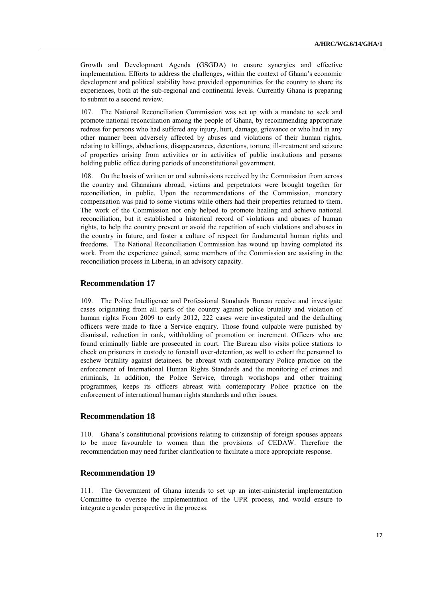Growth and Development Agenda (GSGDA) to ensure synergies and effective implementation. Efforts to address the challenges, within the context of Ghana"s economic development and political stability have provided opportunities for the country to share its experiences, both at the sub-regional and continental levels. Currently Ghana is preparing to submit to a second review.

The National Reconciliation Commission was set up with a mandate to seek and promote national reconciliation among the people of Ghana, by recommending appropriate redress for persons who had suffered any injury, hurt, damage, grievance or who had in any other manner been adversely affected by abuses and violations of their human rights, relating to killings, abductions, disappearances, detentions, torture, ill-treatment and seizure of properties arising from activities or in activities of public institutions and persons holding public office during periods of unconstitutional government.

108. On the basis of written or oral submissions received by the Commission from across the country and Ghanaians abroad, victims and perpetrators were brought together for reconciliation, in public. Upon the recommendations of the Commission, monetary compensation was paid to some victims while others had their properties returned to them. The work of the Commission not only helped to promote healing and achieve national reconciliation, but it established a historical record of violations and abuses of human rights, to help the country prevent or avoid the repetition of such violations and abuses in the country in future, and foster a culture of respect for fundamental human rights and freedoms. The National Reconciliation Commission has wound up having completed its work. From the experience gained, some members of the Commission are assisting in the reconciliation process in Liberia, in an advisory capacity.

#### **Recommendation 17**

109. The Police Intelligence and Professional Standards Bureau receive and investigate cases originating from all parts of the country against police brutality and violation of human rights From 2009 to early 2012, 222 cases were investigated and the defaulting officers were made to face a Service enquiry. Those found culpable were punished by dismissal, reduction in rank, withholding of promotion or increment. Officers who are found criminally liable are prosecuted in court. The Bureau also visits police stations to check on prisoners in custody to forestall over-detention, as well to exhort the personnel to eschew brutality against detainees. be abreast with contemporary Police practice on the enforcement of International Human Rights Standards and the monitoring of crimes and criminals, In addition, the Police Service, through workshops and other training programmes, keeps its officers abreast with contemporary Police practice on the enforcement of international human rights standards and other issues.

#### **Recommendation 18**

110. Ghana"s constitutional provisions relating to citizenship of foreign spouses appears to be more favourable to women than the provisions of CEDAW. Therefore the recommendation may need further clarification to facilitate a more appropriate response.

#### **Recommendation 19**

111. The Government of Ghana intends to set up an inter-ministerial implementation Committee to oversee the implementation of the UPR process, and would ensure to integrate a gender perspective in the process.